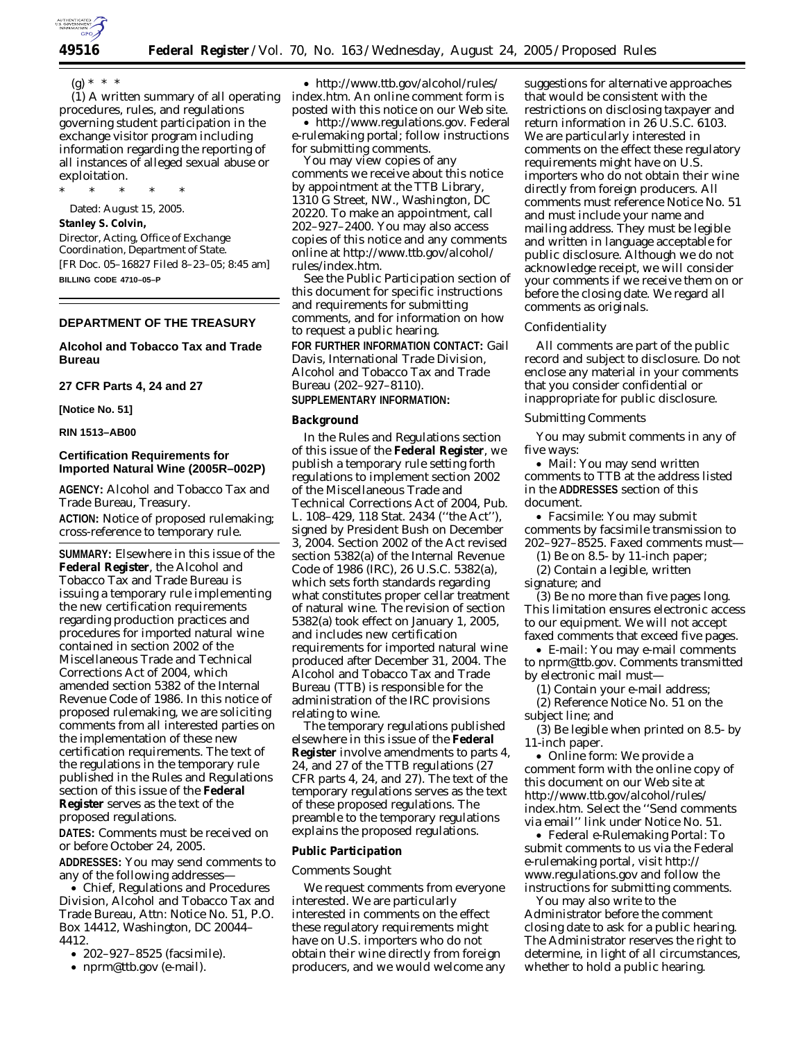

(g) \* \* \*

(1) A written summary of all operating procedures, rules, and regulations governing student participation in the exchange visitor program including information regarding the reporting of all instances of alleged sexual abuse or exploitation.

\* \* \* \* \*

Dated: August 15, 2005.

### **Stanley S. Colvin,**

*Director, Acting, Office of Exchange Coordination, Department of State.* [FR Doc. 05–16827 Filed 8–23–05; 8:45 am] **BILLING CODE 4710–05–P**

# **DEPARTMENT OF THE TREASURY**

# **Alcohol and Tobacco Tax and Trade Bureau**

# **27 CFR Parts 4, 24 and 27**

**[Notice No. 51]** 

#### **RIN 1513–AB00**

# **Certification Requirements for Imported Natural Wine (2005R–002P)**

**AGENCY:** Alcohol and Tobacco Tax and Trade Bureau, Treasury.

**ACTION:** Notice of proposed rulemaking; cross-reference to temporary rule.

**SUMMARY:** Elsewhere in this issue of the **Federal Register**, the Alcohol and Tobacco Tax and Trade Bureau is issuing a temporary rule implementing the new certification requirements regarding production practices and procedures for imported natural wine contained in section 2002 of the Miscellaneous Trade and Technical Corrections Act of 2004, which amended section 5382 of the Internal Revenue Code of 1986. In this notice of proposed rulemaking, we are soliciting comments from all interested parties on the implementation of these new certification requirements. The text of the regulations in the temporary rule published in the Rules and Regulations section of this issue of the **Federal Register** serves as the text of the proposed regulations.

**DATES:** Comments must be received on or before October 24, 2005.

**ADDRESSES:** You may send comments to any of the following addresses—

• Chief, Regulations and Procedures Division, Alcohol and Tobacco Tax and Trade Bureau, Attn: Notice No. 51, P.O. Box 14412, Washington, DC 20044– 4412.

- 202–927–8525 (facsimile).
- *nprm@ttb.gov* (e-mail).

• *http://www.ttb.gov/alcohol/rules/ index.htm*. An online comment form is posted with this notice on our Web site.

• *http://www.regulations.gov*. Federal e-rulemaking portal; follow instructions for submitting comments.

You may view copies of any comments we receive about this notice by appointment at the TTB Library, 1310 G Street, NW., Washington, DC 20220. To make an appointment, call 202–927–2400. You may also access copies of this notice and any comments online at *http://www.ttb.gov/alcohol/ rules/index.htm*.

See the Public Participation section of this document for specific instructions and requirements for submitting comments, and for information on how to request a public hearing.

**FOR FURTHER INFORMATION CONTACT:** Gail Davis, International Trade Division, Alcohol and Tobacco Tax and Trade Bureau (202–927–8110).

# **SUPPLEMENTARY INFORMATION:**

### **Background**

In the Rules and Regulations section of this issue of the **Federal Register**, we publish a temporary rule setting forth regulations to implement section 2002 of the Miscellaneous Trade and Technical Corrections Act of 2004, Pub. L. 108–429, 118 Stat. 2434 (''the Act''), signed by President Bush on December 3, 2004. Section 2002 of the Act revised section 5382(a) of the Internal Revenue Code of 1986 (IRC), 26 U.S.C. 5382(a), which sets forth standards regarding what constitutes proper cellar treatment of natural wine. The revision of section 5382(a) took effect on January 1, 2005, and includes new certification requirements for imported natural wine produced after December 31, 2004. The Alcohol and Tobacco Tax and Trade Bureau (TTB) is responsible for the administration of the IRC provisions relating to wine.

The temporary regulations published elsewhere in this issue of the **Federal Register** involve amendments to parts 4, 24, and 27 of the TTB regulations (27 CFR parts 4, 24, and 27). The text of the temporary regulations serves as the text of these proposed regulations. The preamble to the temporary regulations explains the proposed regulations.

#### **Public Participation**

#### *Comments Sought*

We request comments from everyone interested. We are particularly interested in comments on the effect these regulatory requirements might have on U.S. importers who do not obtain their wine directly from foreign producers, and we would welcome any

suggestions for alternative approaches that would be consistent with the restrictions on disclosing taxpayer and return information in 26 U.S.C. 6103. We are particularly interested in comments on the effect these regulatory requirements might have on U.S. importers who do not obtain their wine directly from foreign producers. All comments must reference Notice No. 51 and must include your name and mailing address. They must be legible and written in language acceptable for public disclosure. Although we do not acknowledge receipt, we will consider your comments if we receive them on or before the closing date. We regard all comments as originals.

#### *Confidentiality*

All comments are part of the public record and subject to disclosure. Do not enclose any material in your comments that you consider confidential or inappropriate for public disclosure.

#### *Submitting Comments*

You may submit comments in any of five ways:

• *Mail:* You may send written comments to TTB at the address listed in the **ADDRESSES** section of this document.

• *Facsimile:* You may submit comments by facsimile transmission to 202–927–8525. Faxed comments must—

(1) Be on 8.5- by 11-inch paper; (2) Contain a legible, written

signature; and

(3) Be no more than five pages long. This limitation ensures electronic access to our equipment. We will not accept faxed comments that exceed five pages.

• *E-mail:* You may e-mail comments to *nprm@ttb.gov*. Comments transmitted by electronic mail must—

(1) Contain your e-mail address;

(2) Reference Notice No. 51 on the subject line; and

(3) Be legible when printed on 8.5- by 11-inch paper.

• *Online form:* We provide a comment form with the online copy of this document on our Web site at *http://www.ttb.gov/alcohol/rules/ index.htm*. Select the ''Send comments via email'' link under Notice No. 51.

• *Federal e-Rulemaking Portal:* To submit comments to us via the Federal e-rulemaking portal, visit *http:// www.regulations.gov* and follow the instructions for submitting comments.

You may also write to the Administrator before the comment closing date to ask for a public hearing. The Administrator reserves the right to determine, in light of all circumstances, whether to hold a public hearing.

**<sup>49516</sup> Federal Register** / Vol. 70, No. 163 / Wednesday, August 24, 2005 / Proposed Rules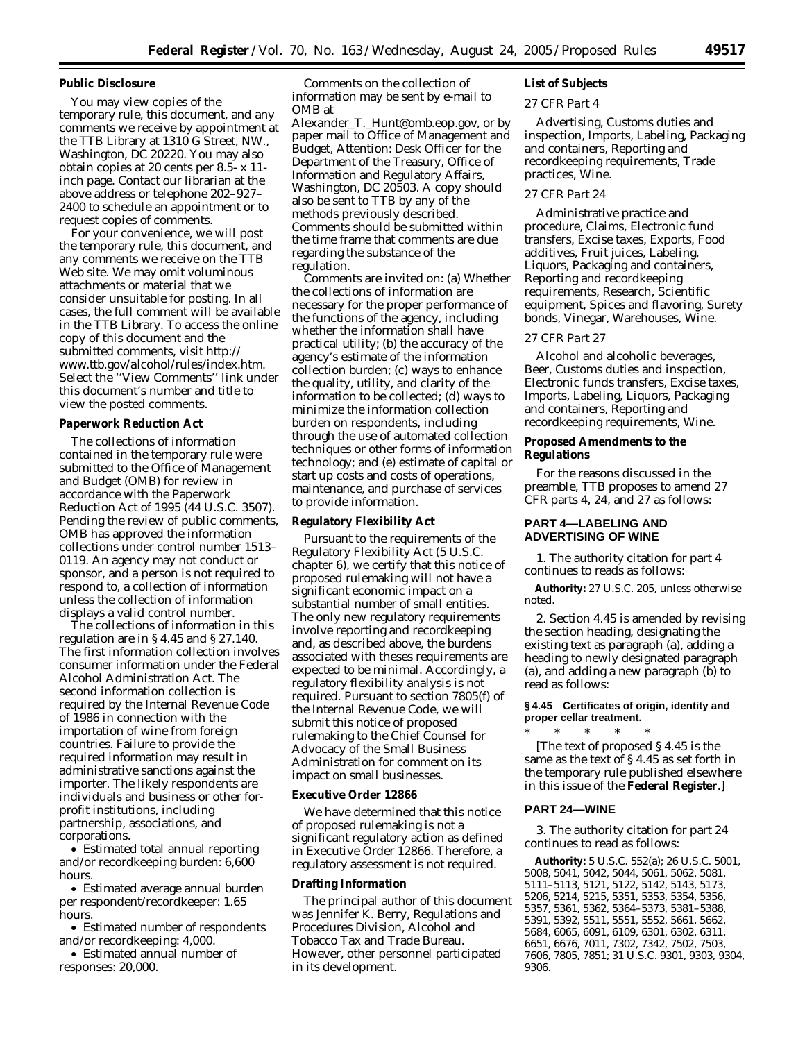#### **Public Disclosure**

You may view copies of the temporary rule, this document, and any comments we receive by appointment at the TTB Library at 1310 G Street, NW., Washington, DC 20220. You may also obtain copies at 20 cents per 8.5- x 11 inch page. Contact our librarian at the above address or telephone 202–927– 2400 to schedule an appointment or to request copies of comments.

For your convenience, we will post the temporary rule, this document, and any comments we receive on the TTB Web site. We may omit voluminous attachments or material that we consider unsuitable for posting. In all cases, the full comment will be available in the TTB Library. To access the online copy of this document and the submitted comments, visit *http:// www.ttb.gov/alcohol/rules/index.htm*. Select the ''View Comments'' link under this document's number and title to view the posted comments.

#### **Paperwork Reduction Act**

The collections of information contained in the temporary rule were submitted to the Office of Management and Budget (OMB) for review in accordance with the Paperwork Reduction Act of 1995 (44 U.S.C. 3507). Pending the review of public comments, OMB has approved the information collections under control number 1513– 0119. An agency may not conduct or sponsor, and a person is not required to respond to, a collection of information unless the collection of information displays a valid control number.

The collections of information in this regulation are in § 4.45 and § 27.140. The first information collection involves consumer information under the Federal Alcohol Administration Act. The second information collection is required by the Internal Revenue Code of 1986 in connection with the importation of wine from foreign countries. Failure to provide the required information may result in administrative sanctions against the importer. The likely respondents are individuals and business or other forprofit institutions, including partnership, associations, and corporations.

• Estimated total annual reporting and/or recordkeeping burden: 6,600 hours.

• Estimated average annual burden per respondent/recordkeeper: 1.65 hours.

• Estimated number of respondents and/or recordkeeping: 4,000.

• Estimated annual number of responses: 20,000.

Comments on the collection of information may be sent by e-mail to OMB at

*Alexander*\_*T.*\_*Hunt@omb.eop.gov*, or by paper mail to Office of Management and Budget, Attention: Desk Officer for the Department of the Treasury, Office of Information and Regulatory Affairs, Washington, DC 20503. A copy should also be sent to TTB by any of the methods previously described. Comments should be submitted within the time frame that comments are due regarding the substance of the regulation.

Comments are invited on: (a) Whether the collections of information are necessary for the proper performance of the functions of the agency, including whether the information shall have practical utility; (b) the accuracy of the agency's estimate of the information collection burden; (c) ways to enhance the quality, utility, and clarity of the information to be collected; (d) ways to minimize the information collection burden on respondents, including through the use of automated collection techniques or other forms of information technology; and (e) estimate of capital or start up costs and costs of operations, maintenance, and purchase of services to provide information.

#### **Regulatory Flexibility Act**

Pursuant to the requirements of the Regulatory Flexibility Act (5 U.S.C. chapter 6), we certify that this notice of proposed rulemaking will not have a significant economic impact on a substantial number of small entities. The only new regulatory requirements involve reporting and recordkeeping and, as described above, the burdens associated with theses requirements are expected to be minimal. Accordingly, a regulatory flexibility analysis is not required. Pursuant to section 7805(f) of the Internal Revenue Code, we will submit this notice of proposed rulemaking to the Chief Counsel for Advocacy of the Small Business Administration for comment on its impact on small businesses.

# **Executive Order 12866**

We have determined that this notice of proposed rulemaking is not a significant regulatory action as defined in Executive Order 12866. Therefore, a regulatory assessment is not required.

#### **Drafting Information**

The principal author of this document was Jennifer K. Berry, Regulations and Procedures Division, Alcohol and Tobacco Tax and Trade Bureau. However, other personnel participated in its development.

# **List of Subjects**

#### *27 CFR Part 4*

Advertising, Customs duties and inspection, Imports, Labeling, Packaging and containers, Reporting and recordkeeping requirements, Trade practices, Wine.

# *27 CFR Part 24*

Administrative practice and procedure, Claims, Electronic fund transfers, Excise taxes, Exports, Food additives, Fruit juices, Labeling, Liquors, Packaging and containers, Reporting and recordkeeping requirements, Research, Scientific equipment, Spices and flavoring, Surety bonds, Vinegar, Warehouses, Wine.

#### *27 CFR Part 27*

Alcohol and alcoholic beverages, Beer, Customs duties and inspection, Electronic funds transfers, Excise taxes, Imports, Labeling, Liquors, Packaging and containers, Reporting and recordkeeping requirements, Wine.

#### **Proposed Amendments to the Regulations**

For the reasons discussed in the preamble, TTB proposes to amend 27 CFR parts 4, 24, and 27 as follows:

# **PART 4—LABELING AND ADVERTISING OF WINE**

1. The authority citation for part 4 continues to reads as follows:

**Authority:** 27 U.S.C. 205, unless otherwise noted.

2. Section 4.45 is amended by revising the section heading, designating the existing text as paragraph (a), adding a heading to newly designated paragraph (a), and adding a new paragraph (b) to read as follows:

# **§ 4.45 Certificates of origin, identity and proper cellar treatment.**

\* \* \* \* \* [The text of proposed § 4.45 is the same as the text of § 4.45 as set forth in the temporary rule published elsewhere in this issue of the **Federal Register**.]

# **PART 24—WINE**

3. The authority citation for part 24 continues to read as follows:

**Authority:** 5 U.S.C. 552(a); 26 U.S.C. 5001, 5008, 5041, 5042, 5044, 5061, 5062, 5081, 5111–5113, 5121, 5122, 5142, 5143, 5173, 5206, 5214, 5215, 5351, 5353, 5354, 5356, 5357, 5361, 5362, 5364–5373, 5381–5388, 5391, 5392, 5511, 5551, 5552, 5661, 5662, 5684, 6065, 6091, 6109, 6301, 6302, 6311, 6651, 6676, 7011, 7302, 7342, 7502, 7503, 7606, 7805, 7851; 31 U.S.C. 9301, 9303, 9304, 9306.